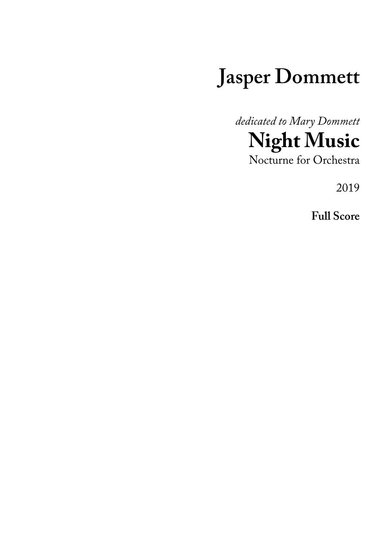# **Jasper Dommett**

*dedicated to MaryDommett* **Night Music** Nocturne for Orchestra

2019

**Full Score**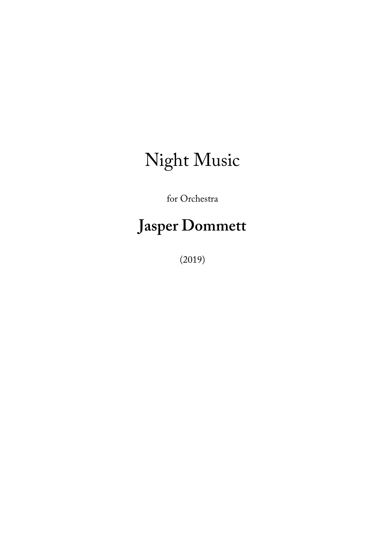## Night Music

for Orchestra

## **Jasper Dommett**

(2019)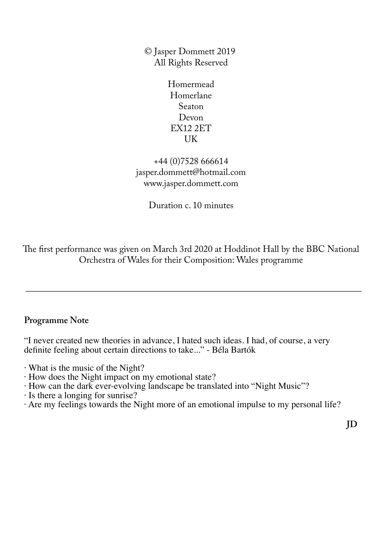© Jasper Dommett 2019 All Rights Reserved

> Homermead Homerlane Seaton Devon EX12 2ET UK

+44 (0)7528 666614 jasper.dommett@hotmail.com www.jasper.dommett.com

The first performance was given on March 3rd 2020 at Hoddinot Hall by the BBC National Orchestra of Wales for their Composition: Wales programme

"I never created new theories in advance, I hated such ideas. I had, of course, a very definite feeling about certain directions to take..." - Béla Bartók

Duration c. 10 minutes

### **Programme Note**

- · What is the music of the Night?
- · How does the Night impact on my emotional state?
- · How can the dark ever-evolving landscape be translated into "Night Music"?
- · Is there a longing for sunrise?
- · Are my feelings towards the Night more of an emotional impulse to my personal life?

**JD**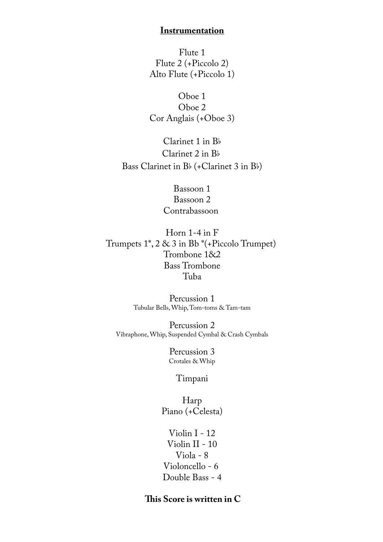#### **Instrumentation**

Flute 1 Flute 2 (+Piccolo 2) Alto Flute (+Piccolo 1)

Oboe 1 Oboe 2 Cor Anglais (+Oboe 3)

Clarinet 1 in Bb Clarinet 2 in Bb Bass Clarinet in Bb (+Clarinet 3 in Bb)

> Bassoon 1 Bassoon 2 Contrabassoon

Horn 1-4 in F Trumpets 1\* , 2 & 3 in Bb \*(+Piccolo Trumpet) Trombone 1&2 Bass Trombone Tuba

> Percussion 1 Tubular Bells, Whip, Tom-toms & Tam-tam

Percussion 2 Vibraphone, Whip, Suspended Cymbal & Crash Cymbals

> Percussion 3 Crotales & Whip

> > Timpani

Harp

Piano (+Celesta)

Violin I - 12 Violin II - 10 Viola - 8 Violoncello - 6 Double Bass - 4

**is Score is written in C**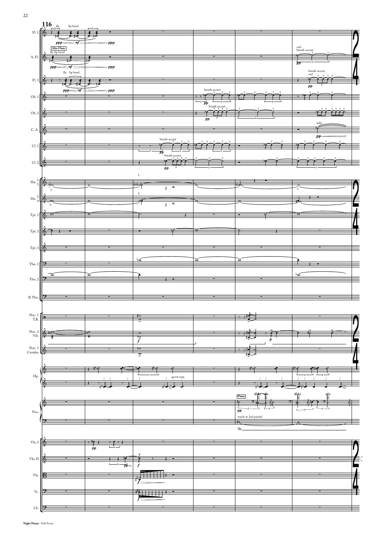

**Night Music -** Full Score

22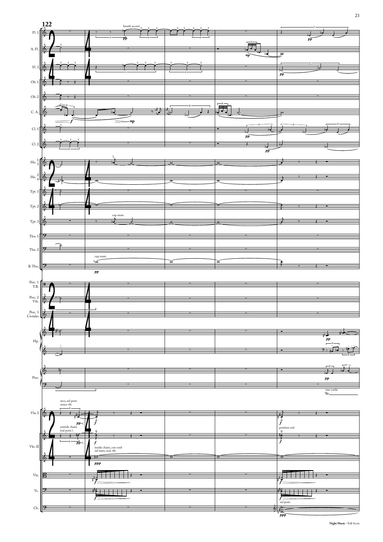

Night Music - Full Score